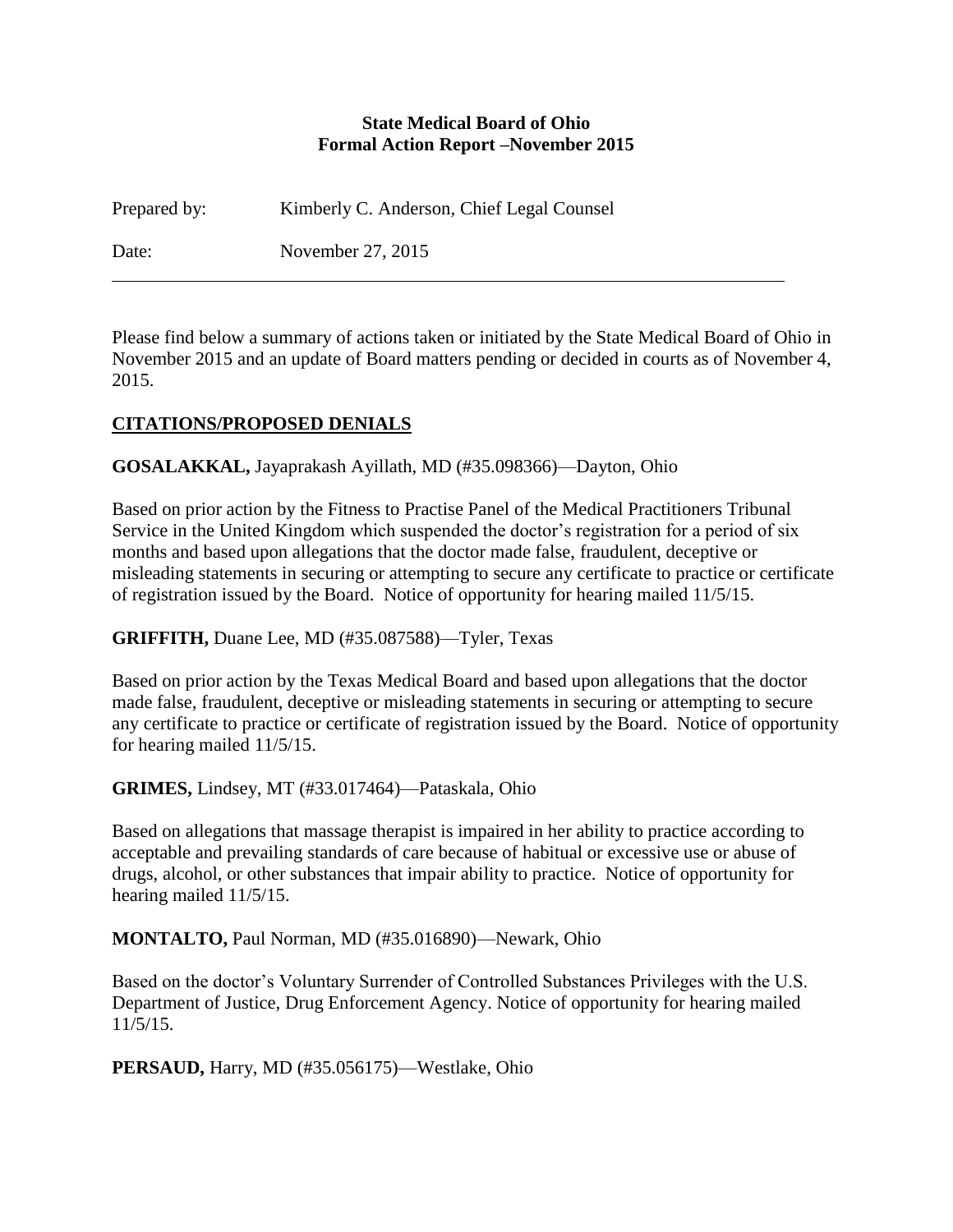#### **State Medical Board of Ohio Formal Action Report –November 2015**

Prepared by: Kimberly C. Anderson, Chief Legal Counsel

Date: November 27, 2015

Please find below a summary of actions taken or initiated by the State Medical Board of Ohio in November 2015 and an update of Board matters pending or decided in courts as of November 4, 2015.

# **CITATIONS/PROPOSED DENIALS**

**GOSALAKKAL,** Jayaprakash Ayillath, MD (#35.098366)—Dayton, Ohio

Based on prior action by the Fitness to Practise Panel of the Medical Practitioners Tribunal Service in the United Kingdom which suspended the doctor's registration for a period of six months and based upon allegations that the doctor made false, fraudulent, deceptive or misleading statements in securing or attempting to secure any certificate to practice or certificate of registration issued by the Board. Notice of opportunity for hearing mailed 11/5/15.

**GRIFFITH,** Duane Lee, MD (#35.087588)—Tyler, Texas

Based on prior action by the Texas Medical Board and based upon allegations that the doctor made false, fraudulent, deceptive or misleading statements in securing or attempting to secure any certificate to practice or certificate of registration issued by the Board. Notice of opportunity for hearing mailed 11/5/15.

**GRIMES,** Lindsey, MT (#33.017464)—Pataskala, Ohio

Based on allegations that massage therapist is impaired in her ability to practice according to acceptable and prevailing standards of care because of habitual or excessive use or abuse of drugs, alcohol, or other substances that impair ability to practice. Notice of opportunity for hearing mailed 11/5/15.

**MONTALTO,** Paul Norman, MD (#35.016890)—Newark, Ohio

Based on the doctor's Voluntary Surrender of Controlled Substances Privileges with the U.S. Department of Justice, Drug Enforcement Agency. Notice of opportunity for hearing mailed 11/5/15.

**PERSAUD,** Harry, MD (#35.056175)—Westlake, Ohio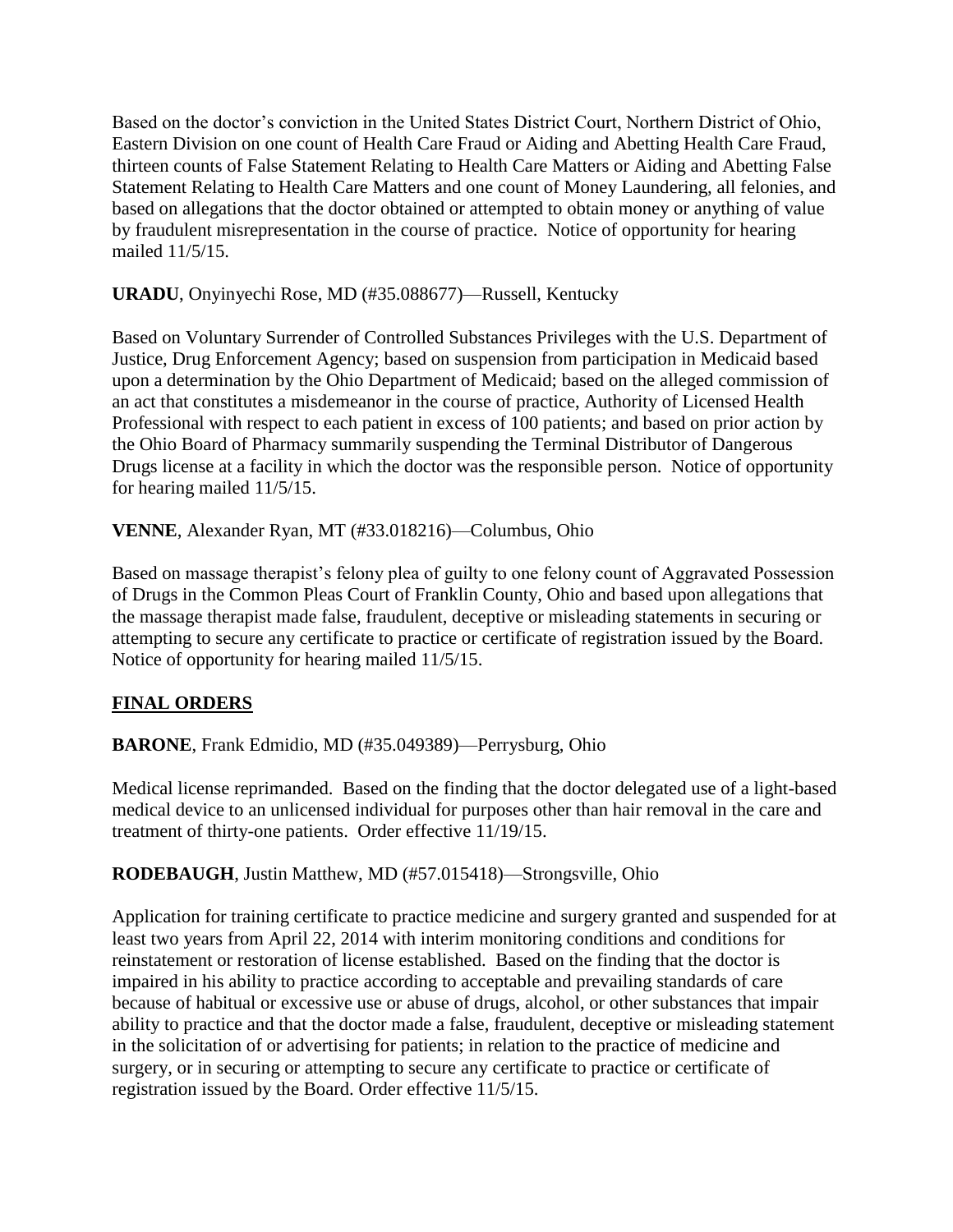Based on the doctor's conviction in the United States District Court, Northern District of Ohio, Eastern Division on one count of Health Care Fraud or Aiding and Abetting Health Care Fraud, thirteen counts of False Statement Relating to Health Care Matters or Aiding and Abetting False Statement Relating to Health Care Matters and one count of Money Laundering, all felonies, and based on allegations that the doctor obtained or attempted to obtain money or anything of value by fraudulent misrepresentation in the course of practice. Notice of opportunity for hearing mailed 11/5/15.

**URADU**, Onyinyechi Rose, MD (#35.088677)—Russell, Kentucky

Based on Voluntary Surrender of Controlled Substances Privileges with the U.S. Department of Justice, Drug Enforcement Agency; based on suspension from participation in Medicaid based upon a determination by the Ohio Department of Medicaid; based on the alleged commission of an act that constitutes a misdemeanor in the course of practice, Authority of Licensed Health Professional with respect to each patient in excess of 100 patients; and based on prior action by the Ohio Board of Pharmacy summarily suspending the Terminal Distributor of Dangerous Drugs license at a facility in which the doctor was the responsible person. Notice of opportunity for hearing mailed 11/5/15.

**VENNE**, Alexander Ryan, MT (#33.018216)—Columbus, Ohio

Based on massage therapist's felony plea of guilty to one felony count of Aggravated Possession of Drugs in the Common Pleas Court of Franklin County, Ohio and based upon allegations that the massage therapist made false, fraudulent, deceptive or misleading statements in securing or attempting to secure any certificate to practice or certificate of registration issued by the Board. Notice of opportunity for hearing mailed 11/5/15.

# **FINAL ORDERS**

**BARONE**, Frank Edmidio, MD (#35.049389)—Perrysburg, Ohio

Medical license reprimanded. Based on the finding that the doctor delegated use of a light-based medical device to an unlicensed individual for purposes other than hair removal in the care and treatment of thirty-one patients. Order effective 11/19/15.

**RODEBAUGH**, Justin Matthew, MD (#57.015418)—Strongsville, Ohio

Application for training certificate to practice medicine and surgery granted and suspended for at least two years from April 22, 2014 with interim monitoring conditions and conditions for reinstatement or restoration of license established. Based on the finding that the doctor is impaired in his ability to practice according to acceptable and prevailing standards of care because of habitual or excessive use or abuse of drugs, alcohol, or other substances that impair ability to practice and that the doctor made a false, fraudulent, deceptive or misleading statement in the solicitation of or advertising for patients; in relation to the practice of medicine and surgery, or in securing or attempting to secure any certificate to practice or certificate of registration issued by the Board. Order effective 11/5/15.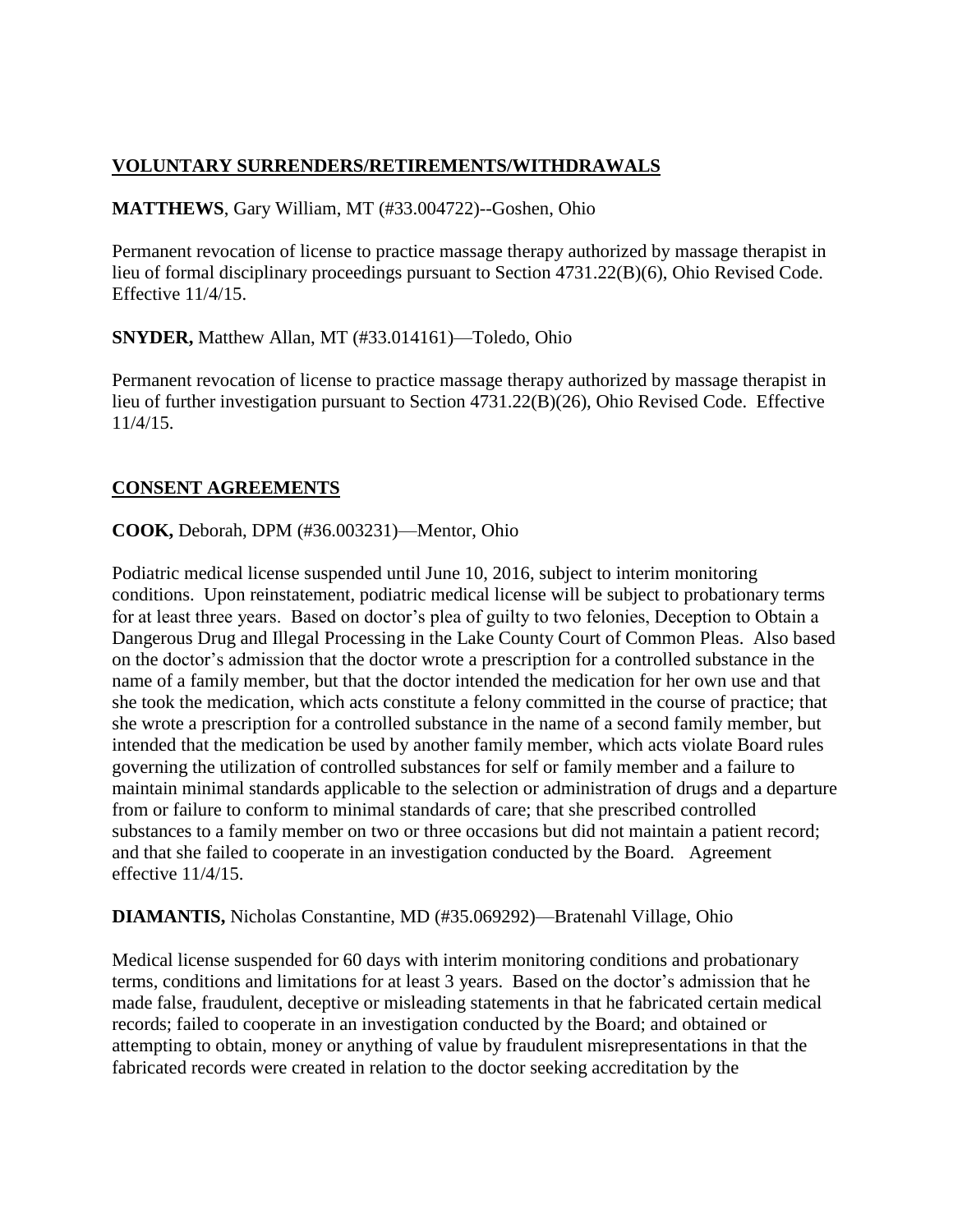## **VOLUNTARY SURRENDERS/RETIREMENTS/WITHDRAWALS**

#### **MATTHEWS**, Gary William, MT (#33.004722)--Goshen, Ohio

Permanent revocation of license to practice massage therapy authorized by massage therapist in lieu of formal disciplinary proceedings pursuant to Section 4731.22(B)(6), Ohio Revised Code. Effective 11/4/15.

**SNYDER,** Matthew Allan, MT (#33.014161)—Toledo, Ohio

Permanent revocation of license to practice massage therapy authorized by massage therapist in lieu of further investigation pursuant to Section 4731.22(B)(26), Ohio Revised Code. Effective 11/4/15.

#### **CONSENT AGREEMENTS**

#### **COOK,** Deborah, DPM (#36.003231)—Mentor, Ohio

Podiatric medical license suspended until June 10, 2016, subject to interim monitoring conditions. Upon reinstatement, podiatric medical license will be subject to probationary terms for at least three years. Based on doctor's plea of guilty to two felonies, Deception to Obtain a Dangerous Drug and Illegal Processing in the Lake County Court of Common Pleas. Also based on the doctor's admission that the doctor wrote a prescription for a controlled substance in the name of a family member, but that the doctor intended the medication for her own use and that she took the medication, which acts constitute a felony committed in the course of practice; that she wrote a prescription for a controlled substance in the name of a second family member, but intended that the medication be used by another family member, which acts violate Board rules governing the utilization of controlled substances for self or family member and a failure to maintain minimal standards applicable to the selection or administration of drugs and a departure from or failure to conform to minimal standards of care; that she prescribed controlled substances to a family member on two or three occasions but did not maintain a patient record; and that she failed to cooperate in an investigation conducted by the Board. Agreement effective 11/4/15.

**DIAMANTIS,** Nicholas Constantine, MD (#35.069292)—Bratenahl Village, Ohio

Medical license suspended for 60 days with interim monitoring conditions and probationary terms, conditions and limitations for at least 3 years. Based on the doctor's admission that he made false, fraudulent, deceptive or misleading statements in that he fabricated certain medical records; failed to cooperate in an investigation conducted by the Board; and obtained or attempting to obtain, money or anything of value by fraudulent misrepresentations in that the fabricated records were created in relation to the doctor seeking accreditation by the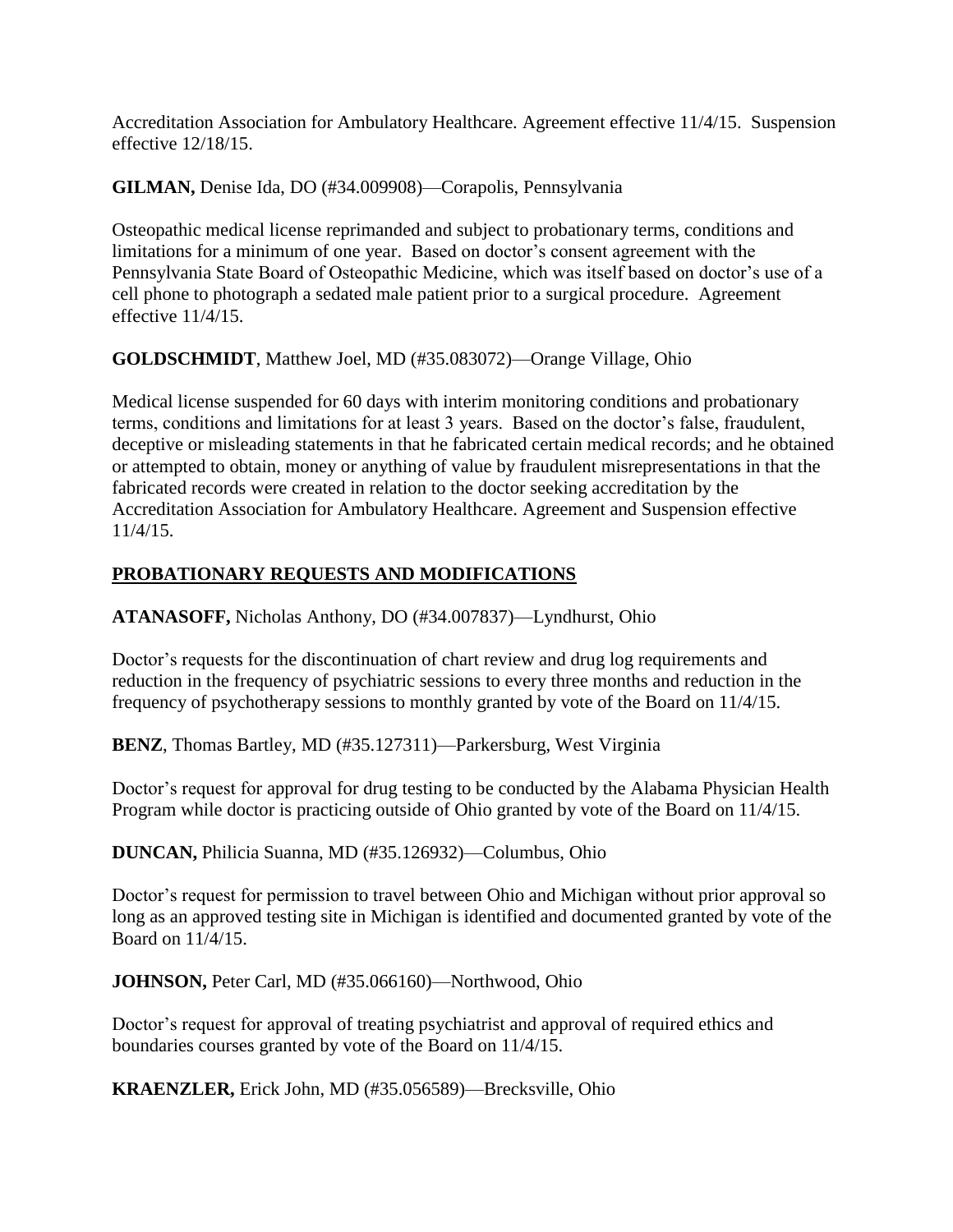Accreditation Association for Ambulatory Healthcare. Agreement effective 11/4/15. Suspension effective 12/18/15.

**GILMAN,** Denise Ida, DO (#34.009908)—Corapolis, Pennsylvania

Osteopathic medical license reprimanded and subject to probationary terms, conditions and limitations for a minimum of one year. Based on doctor's consent agreement with the Pennsylvania State Board of Osteopathic Medicine, which was itself based on doctor's use of a cell phone to photograph a sedated male patient prior to a surgical procedure. Agreement effective 11/4/15.

**GOLDSCHMIDT**, Matthew Joel, MD (#35.083072)—Orange Village, Ohio

Medical license suspended for 60 days with interim monitoring conditions and probationary terms, conditions and limitations for at least 3 years. Based on the doctor's false, fraudulent, deceptive or misleading statements in that he fabricated certain medical records; and he obtained or attempted to obtain, money or anything of value by fraudulent misrepresentations in that the fabricated records were created in relation to the doctor seeking accreditation by the Accreditation Association for Ambulatory Healthcare. Agreement and Suspension effective 11/4/15.

# **PROBATIONARY REQUESTS AND MODIFICATIONS**

**ATANASOFF,** Nicholas Anthony, DO (#34.007837)—Lyndhurst, Ohio

Doctor's requests for the discontinuation of chart review and drug log requirements and reduction in the frequency of psychiatric sessions to every three months and reduction in the frequency of psychotherapy sessions to monthly granted by vote of the Board on 11/4/15.

**BENZ**, Thomas Bartley, MD (#35.127311)—Parkersburg, West Virginia

Doctor's request for approval for drug testing to be conducted by the Alabama Physician Health Program while doctor is practicing outside of Ohio granted by vote of the Board on 11/4/15.

**DUNCAN,** Philicia Suanna, MD (#35.126932)—Columbus, Ohio

Doctor's request for permission to travel between Ohio and Michigan without prior approval so long as an approved testing site in Michigan is identified and documented granted by vote of the Board on 11/4/15.

**JOHNSON,** Peter Carl, MD (#35.066160)—Northwood, Ohio

Doctor's request for approval of treating psychiatrist and approval of required ethics and boundaries courses granted by vote of the Board on 11/4/15.

**KRAENZLER,** Erick John, MD (#35.056589)—Brecksville, Ohio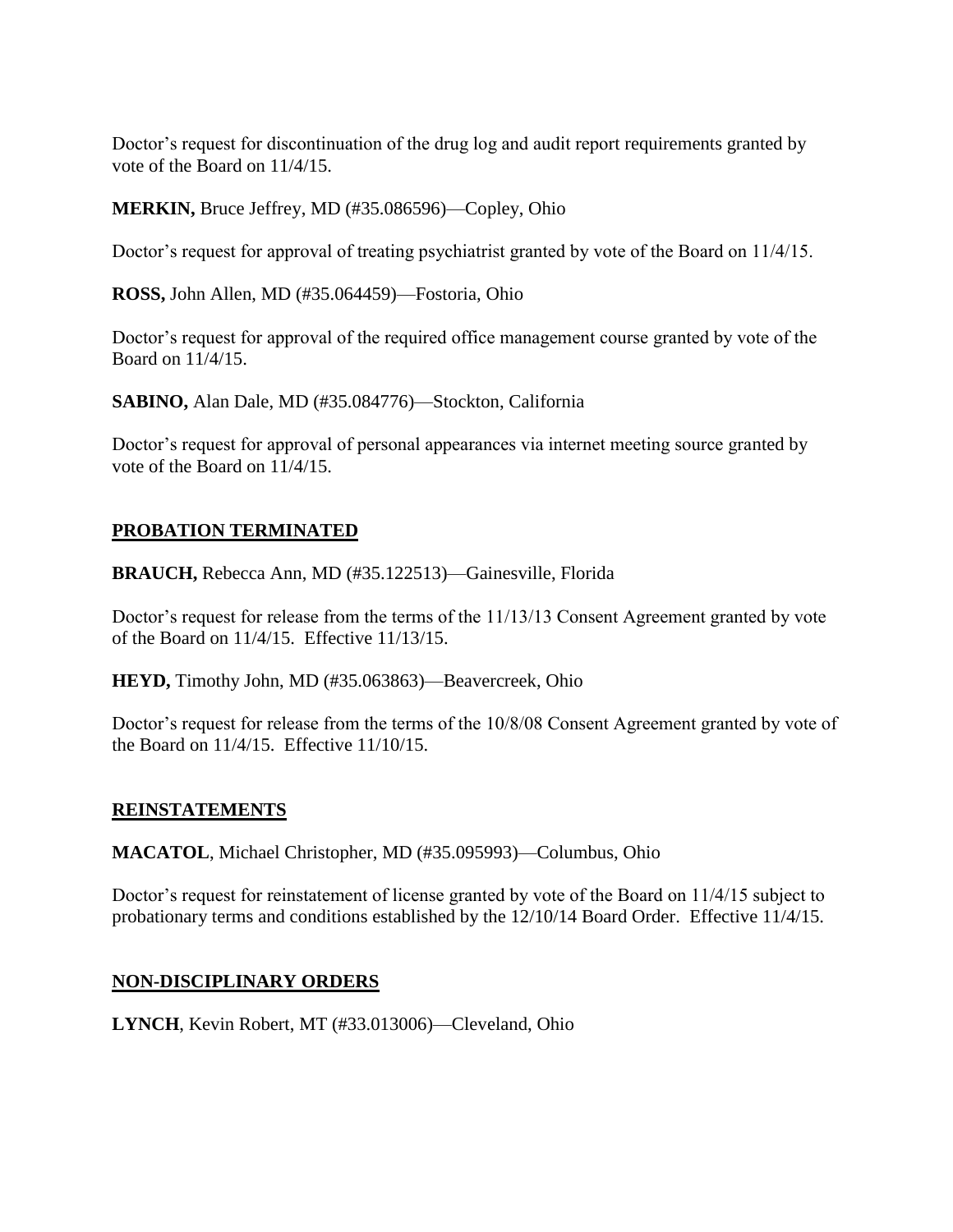Doctor's request for discontinuation of the drug log and audit report requirements granted by vote of the Board on 11/4/15.

**MERKIN,** Bruce Jeffrey, MD (#35.086596)—Copley, Ohio

Doctor's request for approval of treating psychiatrist granted by vote of the Board on 11/4/15.

**ROSS,** John Allen, MD (#35.064459)—Fostoria, Ohio

Doctor's request for approval of the required office management course granted by vote of the Board on 11/4/15.

**SABINO,** Alan Dale, MD (#35.084776)—Stockton, California

Doctor's request for approval of personal appearances via internet meeting source granted by vote of the Board on 11/4/15.

## **PROBATION TERMINATED**

**BRAUCH,** Rebecca Ann, MD (#35.122513)—Gainesville, Florida

Doctor's request for release from the terms of the 11/13/13 Consent Agreement granted by vote of the Board on 11/4/15. Effective 11/13/15.

**HEYD,** Timothy John, MD (#35.063863)—Beavercreek, Ohio

Doctor's request for release from the terms of the 10/8/08 Consent Agreement granted by vote of the Board on 11/4/15. Effective 11/10/15.

#### **REINSTATEMENTS**

**MACATOL**, Michael Christopher, MD (#35.095993)—Columbus, Ohio

Doctor's request for reinstatement of license granted by vote of the Board on 11/4/15 subject to probationary terms and conditions established by the 12/10/14 Board Order. Effective 11/4/15.

#### **NON-DISCIPLINARY ORDERS**

**LYNCH**, Kevin Robert, MT (#33.013006)—Cleveland, Ohio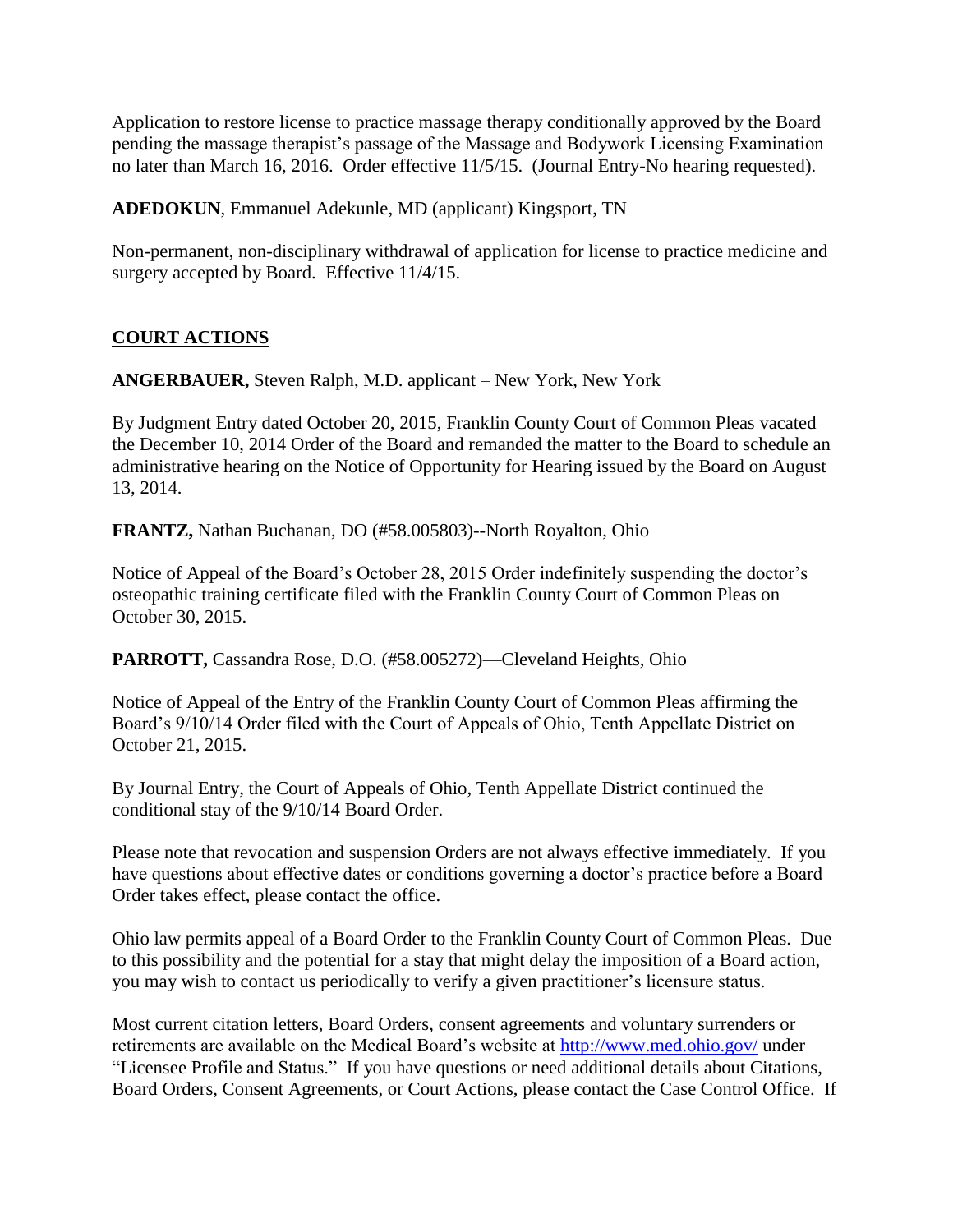Application to restore license to practice massage therapy conditionally approved by the Board pending the massage therapist's passage of the Massage and Bodywork Licensing Examination no later than March 16, 2016. Order effective 11/5/15. (Journal Entry-No hearing requested).

**ADEDOKUN**, Emmanuel Adekunle, MD (applicant) Kingsport, TN

Non-permanent, non-disciplinary withdrawal of application for license to practice medicine and surgery accepted by Board. Effective 11/4/15.

## **COURT ACTIONS**

**ANGERBAUER,** Steven Ralph, M.D. applicant – New York, New York

By Judgment Entry dated October 20, 2015, Franklin County Court of Common Pleas vacated the December 10, 2014 Order of the Board and remanded the matter to the Board to schedule an administrative hearing on the Notice of Opportunity for Hearing issued by the Board on August 13, 2014.

**FRANTZ,** Nathan Buchanan, DO (#58.005803)--North Royalton, Ohio

Notice of Appeal of the Board's October 28, 2015 Order indefinitely suspending the doctor's osteopathic training certificate filed with the Franklin County Court of Common Pleas on October 30, 2015.

**PARROTT,** Cassandra Rose, D.O. (#58.005272)—Cleveland Heights, Ohio

Notice of Appeal of the Entry of the Franklin County Court of Common Pleas affirming the Board's 9/10/14 Order filed with the Court of Appeals of Ohio, Tenth Appellate District on October 21, 2015.

By Journal Entry, the Court of Appeals of Ohio, Tenth Appellate District continued the conditional stay of the 9/10/14 Board Order.

Please note that revocation and suspension Orders are not always effective immediately. If you have questions about effective dates or conditions governing a doctor's practice before a Board Order takes effect, please contact the office.

Ohio law permits appeal of a Board Order to the Franklin County Court of Common Pleas. Due to this possibility and the potential for a stay that might delay the imposition of a Board action, you may wish to contact us periodically to verify a given practitioner's licensure status.

Most current citation letters, Board Orders, consent agreements and voluntary surrenders or retirements are available on the Medical Board's website at<http://www.med.ohio.gov/> under "Licensee Profile and Status." If you have questions or need additional details about Citations, Board Orders, Consent Agreements, or Court Actions, please contact the Case Control Office. If